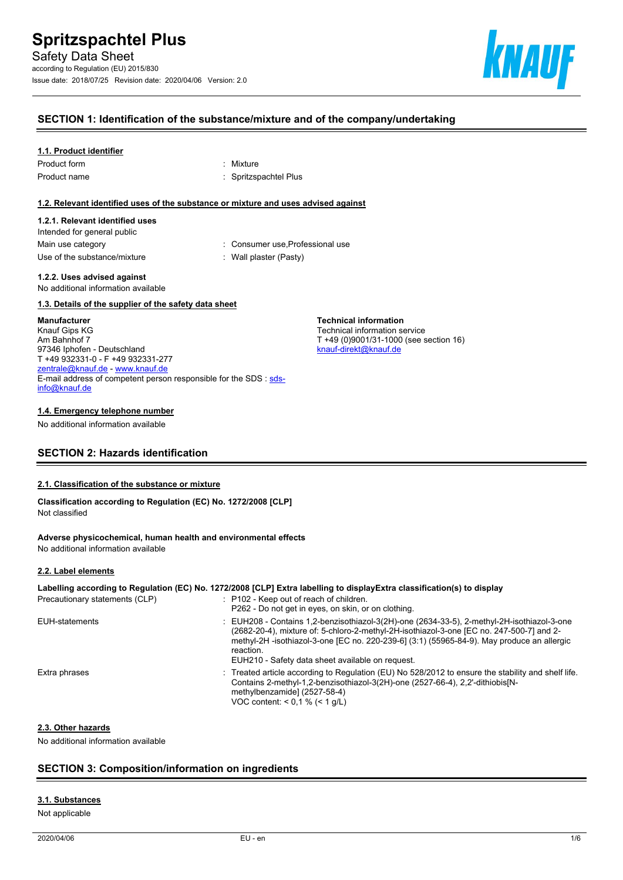

## **SECTION 1: Identification of the substance/mixture and of the company/undertaking**

#### **1.1. Product identifier**

| Product form |  |
|--------------|--|
| Product name |  |

: Mixture : Spritzspachtel Plus

#### **1.2. Relevant identified uses of the substance or mixture and uses advised against**

#### **1.2.1. Relevant identified uses**

Intended for general public Main use category **Main use category : Consumer use, Professional use** Use of the substance/mixture : Wall plaster (Pasty)

**Technical information** Technical information service

[knauf-direkt@knauf.de](mailto:knauf-direkt@knauf.de)

T +49 (0)9001/31-1000 (see section 16)

**1.2.2. Uses advised against**

No additional information available

#### **1.3. Details of the supplier of the safety data sheet**

#### **Manufacturer**

Knauf Gips KG Am Bahnhof 7 97346 Iphofen - Deutschland T +49 932331-0 - F +49 932331-277 [zentrale@knauf.de](mailto:zentrale@knauf.de) - <www.knauf.de> E-mail address of competent person responsible for the SDS : [sds](mailto:sds-info@knauf.de)[info@knauf.de](mailto:sds-info@knauf.de)

#### **1.4. Emergency telephone number**

No additional information available

## **SECTION 2: Hazards identification**

#### **2.1. Classification of the substance or mixture**

**Classification according to Regulation (EC) No. 1272/2008 [CLP]** Not classified

#### **Adverse physicochemical, human health and environmental effects** No additional information available

#### **2.2. Label elements**

## **Labelling according to Regulation (EC) No. 1272/2008 [CLP] Extra labelling to displayExtra classification(s) to display**

| Precautionary statements (CLP) | P102 - Keep out of reach of children.<br>P262 - Do not get in eyes, on skin, or on clothing.                                                                                                                                                                                                                                                          |
|--------------------------------|-------------------------------------------------------------------------------------------------------------------------------------------------------------------------------------------------------------------------------------------------------------------------------------------------------------------------------------------------------|
| EUH-statements                 | : EUH208 - Contains 1.2-benzisothiazol-3(2H)-one (2634-33-5), 2-methyl-2H-isothiazol-3-one<br>(2682-20-4), mixture of: 5-chloro-2-methyl-2H-isothiazol-3-one [EC no. 247-500-7] and 2-<br>methyl-2H -isothiazol-3-one [EC no. 220-239-6] (3:1) (55965-84-9). May produce an allergic<br>reaction.<br>EUH210 - Safety data sheet available on request. |
| Extra phrases                  | : Treated article according to Regulation (EU) No 528/2012 to ensure the stability and shelf life.<br>Contains 2-methyl-1,2-benzisothiazol-3(2H)-one (2527-66-4), 2,2'-dithiobis N-<br>methylbenzamide] (2527-58-4)<br>VOC content: $< 0.1 % (< 1 g/L)$                                                                                               |

## **2.3. Other hazards**

No additional information available

## **SECTION 3: Composition/information on ingredients**

## **3.1. Substances**

Not applicable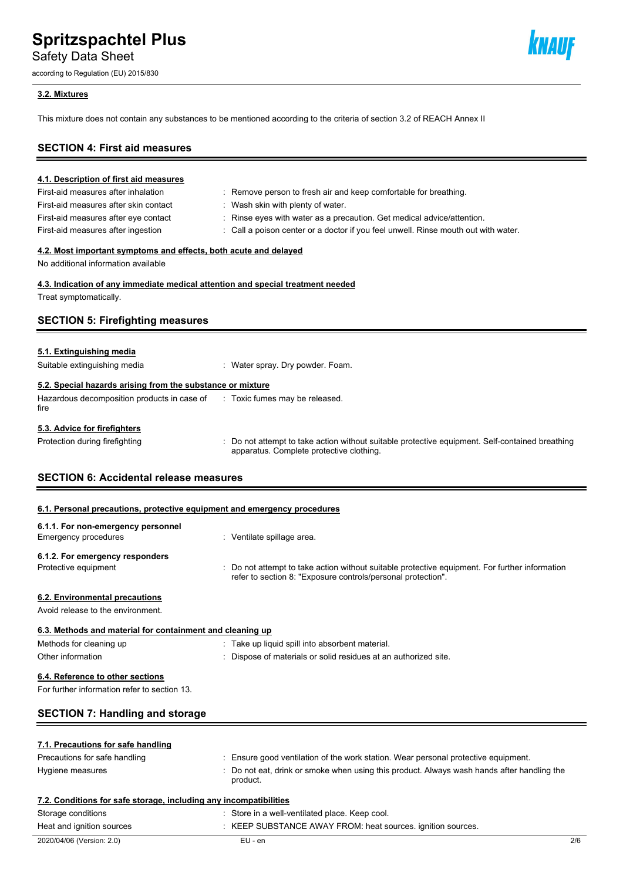Safety Data Sheet

according to Regulation (EU) 2015/830



## **3.2. Mixtures**

This mixture does not contain any substances to be mentioned according to the criteria of section 3.2 of REACH Annex II

| <b>SECTION 4: First aid measures</b>                                                                                                                                                                 |                                                                                                                                                                                                                                                                     |
|------------------------------------------------------------------------------------------------------------------------------------------------------------------------------------------------------|---------------------------------------------------------------------------------------------------------------------------------------------------------------------------------------------------------------------------------------------------------------------|
| 4.1. Description of first aid measures<br>First-aid measures after inhalation<br>First-aid measures after skin contact<br>First-aid measures after eye contact<br>First-aid measures after ingestion | : Remove person to fresh air and keep comfortable for breathing.<br>Wash skin with plenty of water.<br>: Rinse eyes with water as a precaution. Get medical advice/attention.<br>: Call a poison center or a doctor if you feel unwell. Rinse mouth out with water. |
| 4.2. Most important symptoms and effects, both acute and delayed<br>No additional information available                                                                                              |                                                                                                                                                                                                                                                                     |
| 4.3. Indication of any immediate medical attention and special treatment needed<br>Treat symptomatically.                                                                                            |                                                                                                                                                                                                                                                                     |
| <b>SECTION 5: Firefighting measures</b>                                                                                                                                                              |                                                                                                                                                                                                                                                                     |
| 5.1. Extinguishing media<br>Suitable extinguishing media                                                                                                                                             | : Water spray. Dry powder. Foam.                                                                                                                                                                                                                                    |
| 5.2. Special hazards arising from the substance or mixture<br>Hazardous decomposition products in case of<br>fire                                                                                    | : Toxic fumes may be released.                                                                                                                                                                                                                                      |
| 5.3. Advice for firefighters<br>Protection during firefighting                                                                                                                                       | : Do not attempt to take action without suitable protective equipment. Self-contained breathing<br>apparatus. Complete protective clothing.                                                                                                                         |
| <b>SECTION 6: Accidental release measures</b>                                                                                                                                                        |                                                                                                                                                                                                                                                                     |
| 6.1. Personal precautions, protective equipment and emergency procedures                                                                                                                             |                                                                                                                                                                                                                                                                     |
| 6.1.1. For non-emergency personnel<br><b>Emergency procedures</b>                                                                                                                                    | : Ventilate spillage area.                                                                                                                                                                                                                                          |
| 6.1.2. For emergency responders<br>Protective equipment                                                                                                                                              | : Do not attempt to take action without suitable protective equipment. For further information<br>refer to section 8: "Exposure controls/personal protection".                                                                                                      |
| 6.2. Environmental precautions<br>Avoid release to the environment.                                                                                                                                  |                                                                                                                                                                                                                                                                     |
| 6.3. Methods and material for containment and cleaning up                                                                                                                                            |                                                                                                                                                                                                                                                                     |
| Methods for cleaning up                                                                                                                                                                              | : Take up liquid spill into absorbent material.                                                                                                                                                                                                                     |
| Other information                                                                                                                                                                                    | : Dispose of materials or solid residues at an authorized site.                                                                                                                                                                                                     |
| 6.4. Reference to other sections                                                                                                                                                                     |                                                                                                                                                                                                                                                                     |
| For further information refer to section 13.                                                                                                                                                         |                                                                                                                                                                                                                                                                     |
| <b>SECTION 7: Handling and storage</b>                                                                                                                                                               |                                                                                                                                                                                                                                                                     |
| 7.1. Precautions for safe handling                                                                                                                                                                   |                                                                                                                                                                                                                                                                     |
| Precautions for safe handling                                                                                                                                                                        | : Ensure good ventilation of the work station. Wear personal protective equipment.                                                                                                                                                                                  |
| Hygiene measures                                                                                                                                                                                     | Do not eat, drink or smoke when using this product. Always wash hands after handling the<br>product.                                                                                                                                                                |
| 7.2. Conditions for safe storage, including any incompatibilities                                                                                                                                    |                                                                                                                                                                                                                                                                     |
| Storage conditions                                                                                                                                                                                   | : Store in a well-ventilated place. Keep cool.                                                                                                                                                                                                                      |

| Storage conditions        | Store in a well-ventilated place. Reep cool.                |     |
|---------------------------|-------------------------------------------------------------|-----|
| Heat and ignition sources | . KEEP SUBSTANCE AWAY FROM: heat sources. ignition sources. |     |
| 2020/04/06 (Version: 2.0) | EU - en                                                     | 2/6 |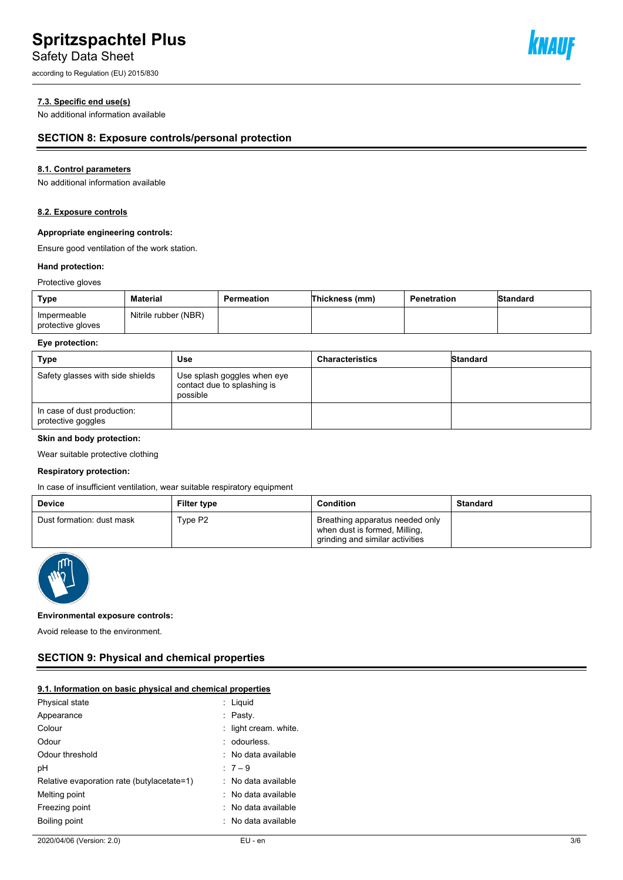Safety Data Sheet

according to Regulation (EU) 2015/830



## **7.3. Specific end use(s)**

No additional information available

## **SECTION 8: Exposure controls/personal protection**

#### **8.1. Control parameters**

No additional information available

## **8.2. Exposure controls**

## **Appropriate engineering controls:**

Ensure good ventilation of the work station.

#### **Hand protection:**

#### Protective gloves

| Type                             | Material             | Permeation | Thickness (mm) | Penetration | Standard |
|----------------------------------|----------------------|------------|----------------|-------------|----------|
| Impermeable<br>protective gloves | Nitrile rubber (NBR) |            |                |             |          |

#### **Eye protection:**

| <b>Type</b>                                       | Use                                                                    | <b>Characteristics</b> | Standard |
|---------------------------------------------------|------------------------------------------------------------------------|------------------------|----------|
| Safety glasses with side shields                  | Use splash goggles when eye<br>contact due to splashing is<br>possible |                        |          |
| In case of dust production:<br>protective goggles |                                                                        |                        |          |

## **Skin and body protection:**

Wear suitable protective clothing

#### **Respiratory protection:**

In case of insufficient ventilation, wear suitable respiratory equipment

| <b>Device</b>             | <b>Filter type</b> | Condition                                                                                           | Standard |
|---------------------------|--------------------|-----------------------------------------------------------------------------------------------------|----------|
| Dust formation: dust mask | Type P2            | Breathing apparatus needed only<br>when dust is formed, Milling,<br>grinding and similar activities |          |



#### **Environmental exposure controls:**

Avoid release to the environment.

## **SECTION 9: Physical and chemical properties**

#### **9.1. Information on basic physical and chemical properties**

| Physical state                             | : Liquid              |
|--------------------------------------------|-----------------------|
| Appearance                                 | : Pasty.              |
| Colour                                     | : light cream. white. |
| Odour                                      | : odourless.          |
| Odour threshold                            | : No data available   |
| рH                                         | $:7 - 9$              |
| Relative evaporation rate (butylacetate=1) | : No data available   |
| Melting point                              | . No data available   |
| Freezing point                             | : No data available   |
| Boiling point                              | : No data available   |
|                                            |                       |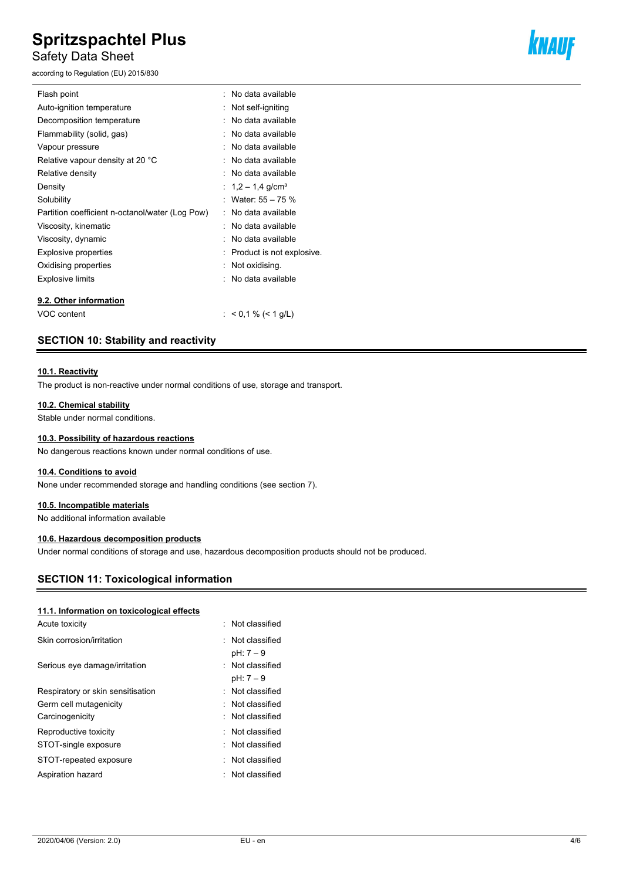Safety Data Sheet

according to Regulation (EU) 2015/830



| Flash point                                     | No data available             |
|-------------------------------------------------|-------------------------------|
| Auto-ignition temperature                       | Not self-igniting             |
| Decomposition temperature                       | No data available             |
| Flammability (solid, gas)                       | No data available             |
| Vapour pressure                                 | No data available             |
| Relative vapour density at 20 °C                | No data available             |
| Relative density                                | No data available             |
| Density                                         | $1.2 - 1.4$ g/cm <sup>3</sup> |
| Solubility                                      | Water: 55 - 75 %              |
| Partition coefficient n-octanol/water (Log Pow) | No data available             |
| Viscosity, kinematic                            | No data available             |
| Viscosity, dynamic                              | No data available             |
| <b>Explosive properties</b>                     | Product is not explosive.     |
| Oxidising properties                            | Not oxidising.                |
| <b>Explosive limits</b>                         | No data available             |
| 9.2. Other information                          |                               |
|                                                 |                               |
| VOC content                                     | : $< 0.1 \% (< 1 g/L)$        |

## **SECTION 10: Stability and reactivity**

## **10.1. Reactivity**

The product is non-reactive under normal conditions of use, storage and transport.

#### **10.2. Chemical stability**

Stable under normal conditions.

## **10.3. Possibility of hazardous reactions**

No dangerous reactions known under normal conditions of use.

#### **10.4. Conditions to avoid**

None under recommended storage and handling conditions (see section 7).

#### **10.5. Incompatible materials**

No additional information available

## **10.6. Hazardous decomposition products**

Under normal conditions of storage and use, hazardous decomposition products should not be produced.

## **SECTION 11: Toxicological information**

## **11.1. Information on toxicological effects**

| Acute toxicity                    | Not classified                |
|-----------------------------------|-------------------------------|
| Skin corrosion/irritation         | Not classified<br>$pH: 7 - 9$ |
| Serious eye damage/irritation     | Not classified<br>pH: 7 - 9   |
| Respiratory or skin sensitisation | . Not classified              |
| Germ cell mutagenicity            | . Not classified              |
| Carcinogenicity                   | : Not classified              |
| Reproductive toxicity             | Not classified                |
| STOT-single exposure              | Not classified                |
| STOT-repeated exposure            | : Not classified              |
| Aspiration hazard                 | : Not classified              |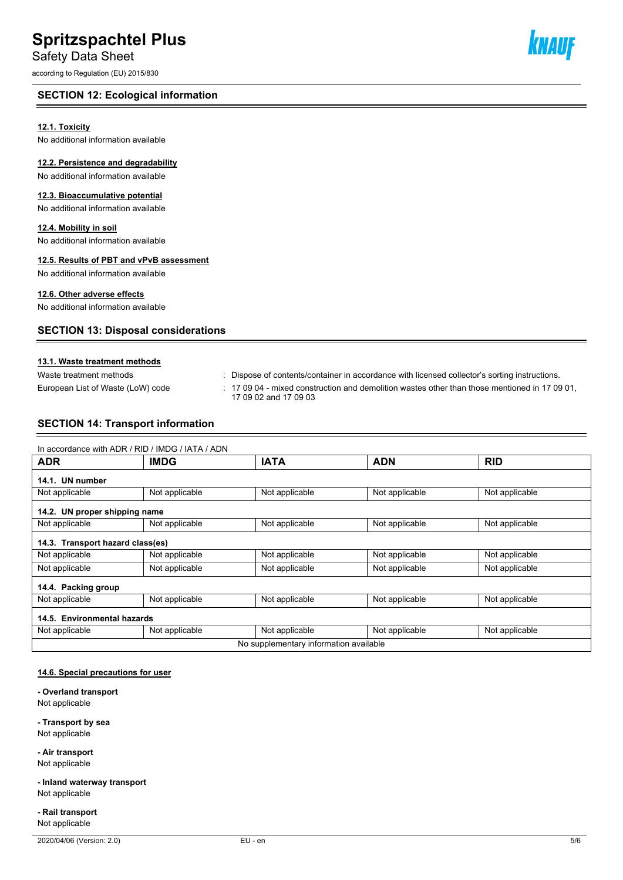Safety Data Sheet

according to Regulation (EU) 2015/830

## **SECTION 12: Ecological information**

## **12.1. Toxicity**

No additional information available

## **12.2. Persistence and degradability**

No additional information available

## **12.3. Bioaccumulative potential**

No additional information available

**12.4. Mobility in soil** No additional information available

## **12.5. Results of PBT and vPvB assessment**

No additional information available

## **12.6. Other adverse effects**

No additional information available

## **SECTION 13: Disposal considerations**

**SECTION 14: Transport information**

## **13.1. Waste treatment methods**

European List of Waste (LoW) code : 17 09 04 - mixed construction and demolition wastes other than those mentioned in 17 09 01,

Waste treatment methods : Dispose of contents/container in accordance with licensed collector's sorting instructions.

17 09 02 and 17 09 03

| <b>ADR</b>                       | <b>IMDG</b>    | <b>IATA</b>    | <b>ADN</b>     | <b>RID</b>     |
|----------------------------------|----------------|----------------|----------------|----------------|
| 14.1. UN number                  |                |                |                |                |
| Not applicable                   | Not applicable | Not applicable | Not applicable | Not applicable |
| 14.2. UN proper shipping name    |                |                |                |                |
| Not applicable                   | Not applicable | Not applicable | Not applicable | Not applicable |
| 14.3. Transport hazard class(es) |                |                |                |                |
| Not applicable                   | Not applicable | Not applicable | Not applicable | Not applicable |
| Not applicable                   | Not applicable | Not applicable | Not applicable | Not applicable |
| 14.4. Packing group              |                |                |                |                |
| Not applicable                   | Not applicable | Not applicable | Not applicable | Not applicable |
| 14.5. Environmental hazards      |                |                |                |                |
| Not applicable                   | Not applicable | Not applicable | Not applicable | Not applicable |

## **14.6. Special precautions for user**

**- Overland transport** Not applicable

**- Transport by sea** Not applicable

**- Air transport** Not applicable

**- Inland waterway transport** Not applicable

**- Rail transport** Not applicable